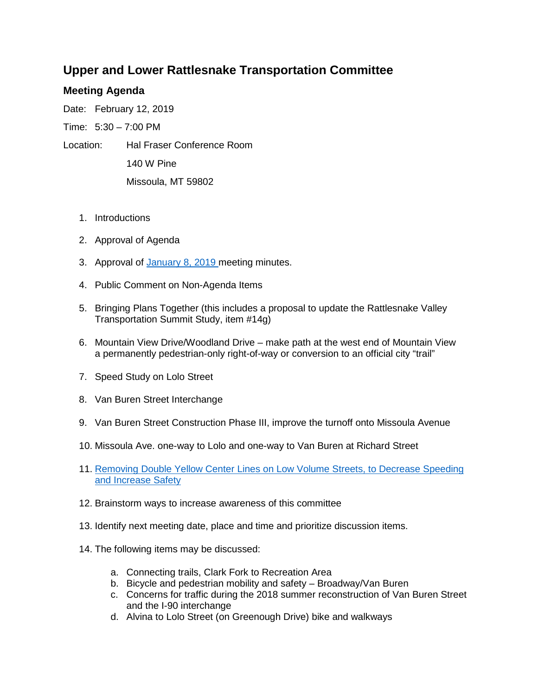## **Upper and Lower Rattlesnake Transportation Committee**

## **Meeting Agenda**

Date: February 12, 2019

Time: 5:30 – 7:00 PM

- Location: Hal Fraser Conference Room 140 W Pine Missoula, MT 59802
	- 1. Introductions
	- 2. Approval of Agenda
	- 3. Approval of [January 8,](https://mt-missoula4.civicplus.com/ArchiveCenter/ViewFile/Item/13568) 2019 meeting minutes.
	- 4. Public Comment on Non-Agenda Items
	- 5. Bringing Plans Together (this includes a proposal to update the Rattlesnake Valley Transportation Summit Study, item #14g)
	- 6. Mountain View Drive/Woodland Drive make path at the west end of Mountain View a permanently pedestrian-only right-of-way or conversion to an official city "trail"
	- 7. Speed Study on Lolo Street
	- 8. Van Buren Street Interchange
	- 9. Van Buren Street Construction Phase III, improve the turnoff onto Missoula Avenue
	- 10. Missoula Ave. one-way to Lolo and one-way to Van Buren at Richard Street
	- 11. [Removing Double Yellow Center Lines on Low Volume Streets, to Decrease Speeding](https://usa.streetsblog.org/2014/08/15/removing-center-lines-reduced-speeding-on-london-streets/)  [and Increase Safety](https://usa.streetsblog.org/2014/08/15/removing-center-lines-reduced-speeding-on-london-streets/)
	- 12. Brainstorm ways to increase awareness of this committee
	- 13. Identify next meeting date, place and time and prioritize discussion items.
	- 14. The following items may be discussed:
		- a. Connecting trails, Clark Fork to Recreation Area
		- b. Bicycle and pedestrian mobility and safety Broadway/Van Buren
		- c. Concerns for traffic during the 2018 summer reconstruction of Van Buren Street and the I-90 interchange
		- d. Alvina to Lolo Street (on Greenough Drive) bike and walkways